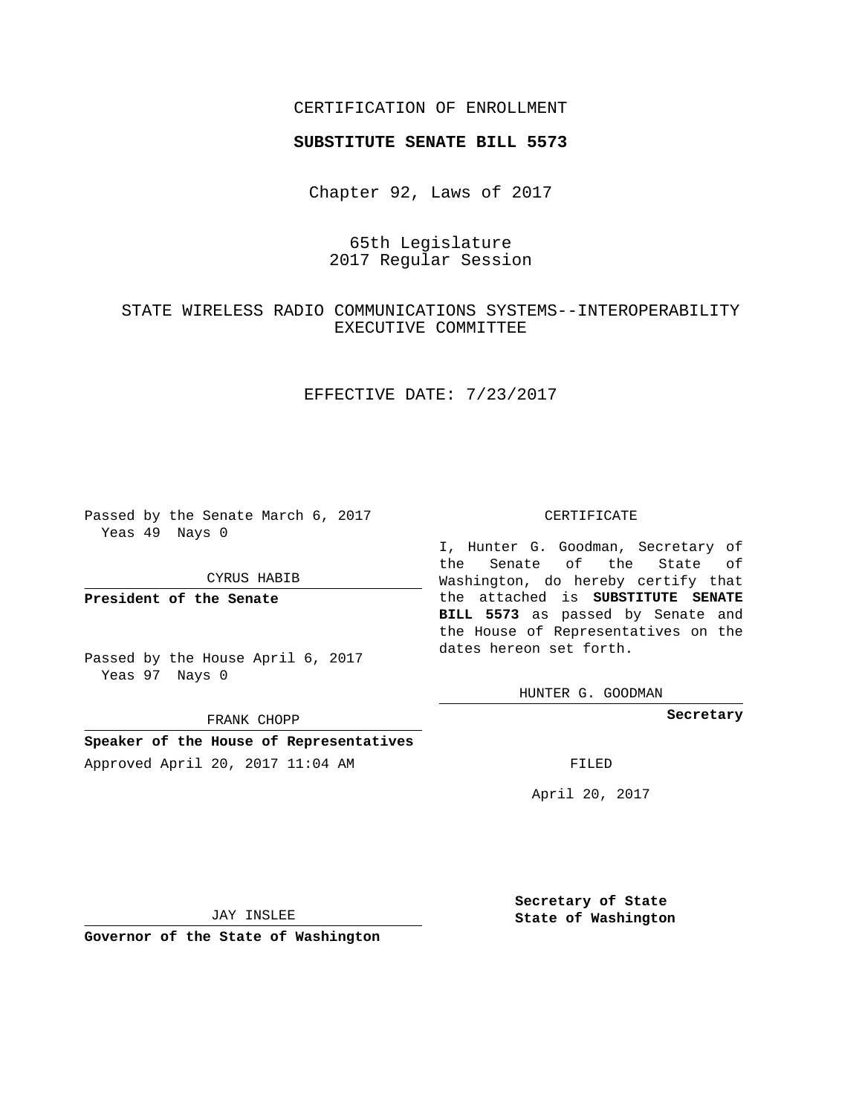### CERTIFICATION OF ENROLLMENT

### **SUBSTITUTE SENATE BILL 5573**

Chapter 92, Laws of 2017

# 65th Legislature 2017 Regular Session

# STATE WIRELESS RADIO COMMUNICATIONS SYSTEMS--INTEROPERABILITY EXECUTIVE COMMITTEE

## EFFECTIVE DATE: 7/23/2017

Passed by the Senate March 6, 2017 Yeas 49 Nays 0

#### CYRUS HABIB

**President of the Senate**

Passed by the House April 6, 2017 Yeas 97 Nays 0

FRANK CHOPP

# **Speaker of the House of Representatives** Approved April 20, 2017 11:04 AM FILED

#### CERTIFICATE

I, Hunter G. Goodman, Secretary of the Senate of the State of Washington, do hereby certify that the attached is **SUBSTITUTE SENATE BILL 5573** as passed by Senate and the House of Representatives on the dates hereon set forth.

HUNTER G. GOODMAN

**Secretary**

April 20, 2017

JAY INSLEE

**Governor of the State of Washington**

**Secretary of State State of Washington**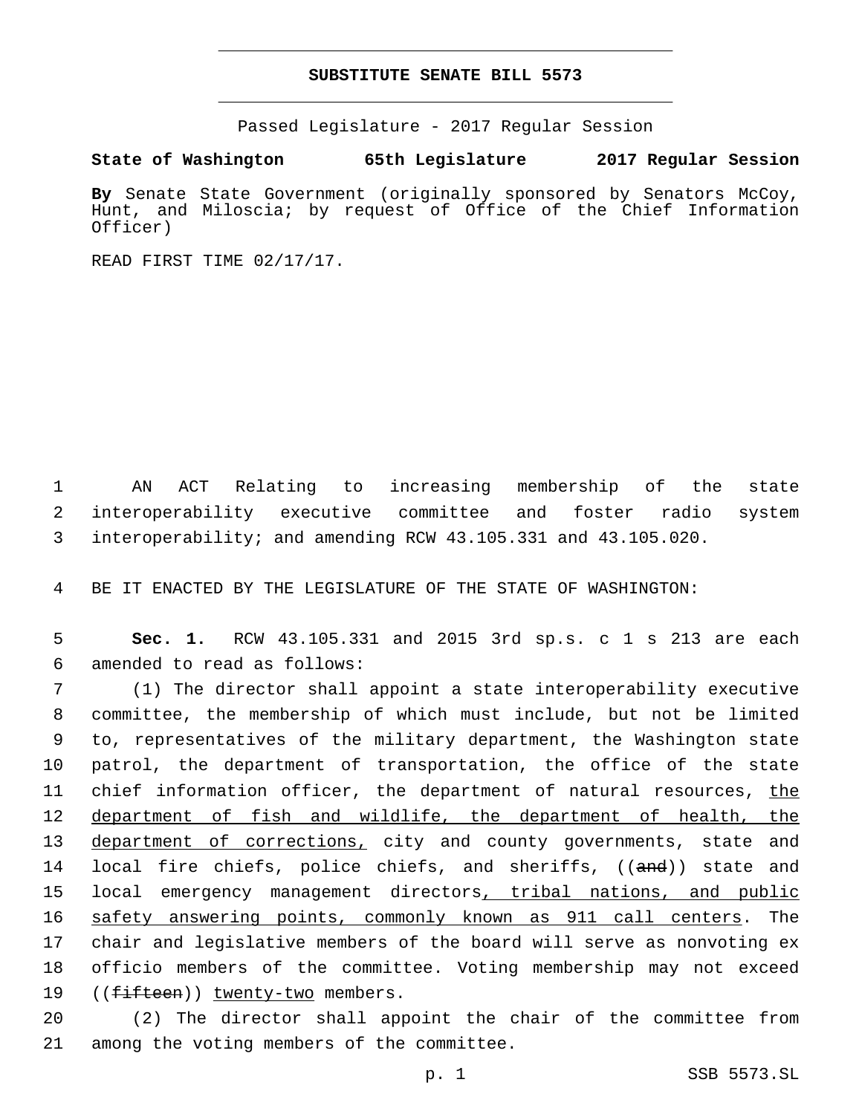### **SUBSTITUTE SENATE BILL 5573**

Passed Legislature - 2017 Regular Session

**State of Washington 65th Legislature 2017 Regular Session**

**By** Senate State Government (originally sponsored by Senators McCoy, Hunt, and Miloscia; by request of Office of the Chief Information Officer)

READ FIRST TIME 02/17/17.

1 AN ACT Relating to increasing membership of the state 2 interoperability executive committee and foster radio system 3 interoperability; and amending RCW 43.105.331 and 43.105.020.

4 BE IT ENACTED BY THE LEGISLATURE OF THE STATE OF WASHINGTON:

5 **Sec. 1.** RCW 43.105.331 and 2015 3rd sp.s. c 1 s 213 are each 6 amended to read as follows:

7 (1) The director shall appoint a state interoperability executive 8 committee, the membership of which must include, but not be limited 9 to, representatives of the military department, the Washington state 10 patrol, the department of transportation, the office of the state 11 chief information officer, the department of natural resources, the 12 department of fish and wildlife, the department of health, the 13 department of corrections, city and county governments, state and 14 local fire chiefs, police chiefs, and sheriffs, ((and)) state and 15 local emergency management directors, tribal nations, and public 16 safety answering points, commonly known as 911 call centers. The 17 chair and legislative members of the board will serve as nonvoting ex 18 officio members of the committee. Voting membership may not exceed 19 ((fifteen)) twenty-two members.

20 (2) The director shall appoint the chair of the committee from 21 among the voting members of the committee.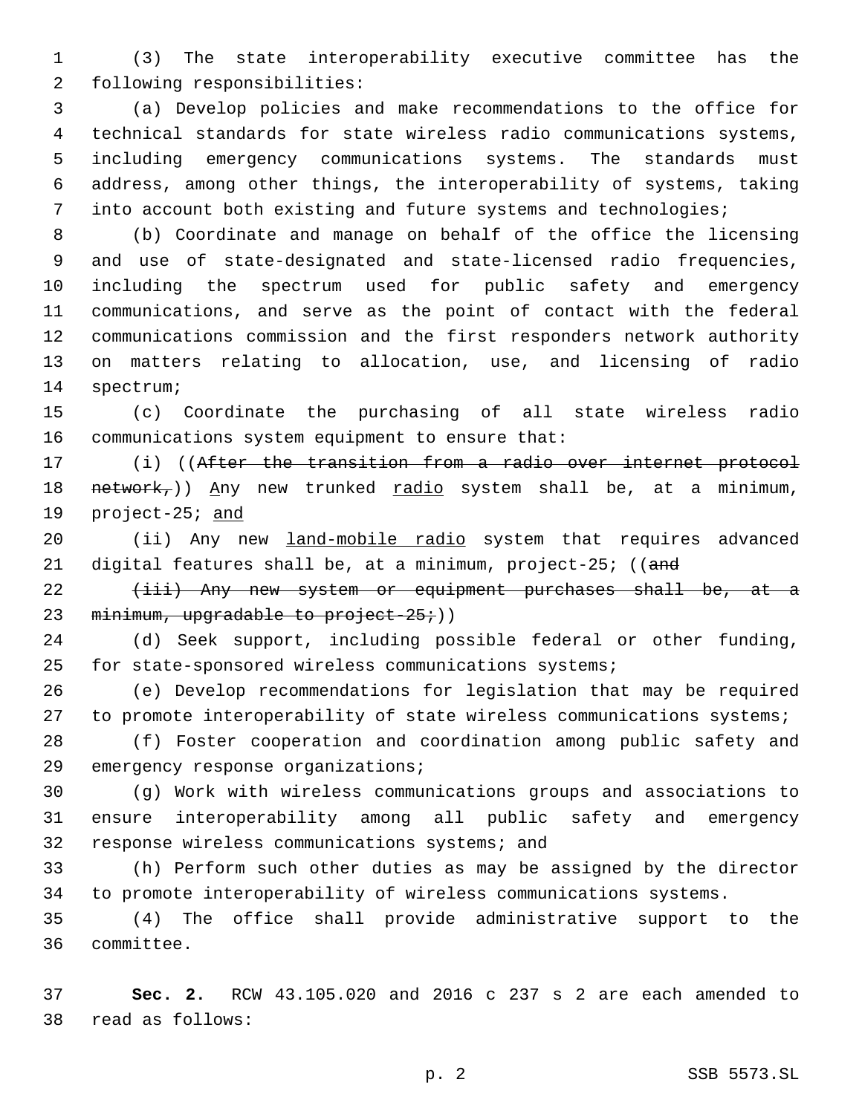(3) The state interoperability executive committee has the 2 following responsibilities:

 (a) Develop policies and make recommendations to the office for technical standards for state wireless radio communications systems, including emergency communications systems. The standards must address, among other things, the interoperability of systems, taking into account both existing and future systems and technologies;

 (b) Coordinate and manage on behalf of the office the licensing and use of state-designated and state-licensed radio frequencies, including the spectrum used for public safety and emergency communications, and serve as the point of contact with the federal communications commission and the first responders network authority on matters relating to allocation, use, and licensing of radio 14 spectrum;

 (c) Coordinate the purchasing of all state wireless radio 16 communications system equipment to ensure that:

 (i) ((After the transition from a radio over internet protocol 18 network,)) Any new trunked radio system shall be, at a minimum, 19 project-25; and

20 (ii) Any new land-mobile radio system that requires advanced 21 digital features shall be, at a minimum, project-25; ((and

22 (iii) Any new system or equipment purchases shall be, at a 23 minimum, upgradable to project-25;))

 (d) Seek support, including possible federal or other funding, for state-sponsored wireless communications systems;

 (e) Develop recommendations for legislation that may be required 27 to promote interoperability of state wireless communications systems;

 (f) Foster cooperation and coordination among public safety and 29 emergency response organizations;

 (g) Work with wireless communications groups and associations to ensure interoperability among all public safety and emergency 32 response wireless communications systems; and

 (h) Perform such other duties as may be assigned by the director to promote interoperability of wireless communications systems.

 (4) The office shall provide administrative support to the 36 committee.

 **Sec. 2.** RCW 43.105.020 and 2016 c 237 s 2 are each amended to read as follows:38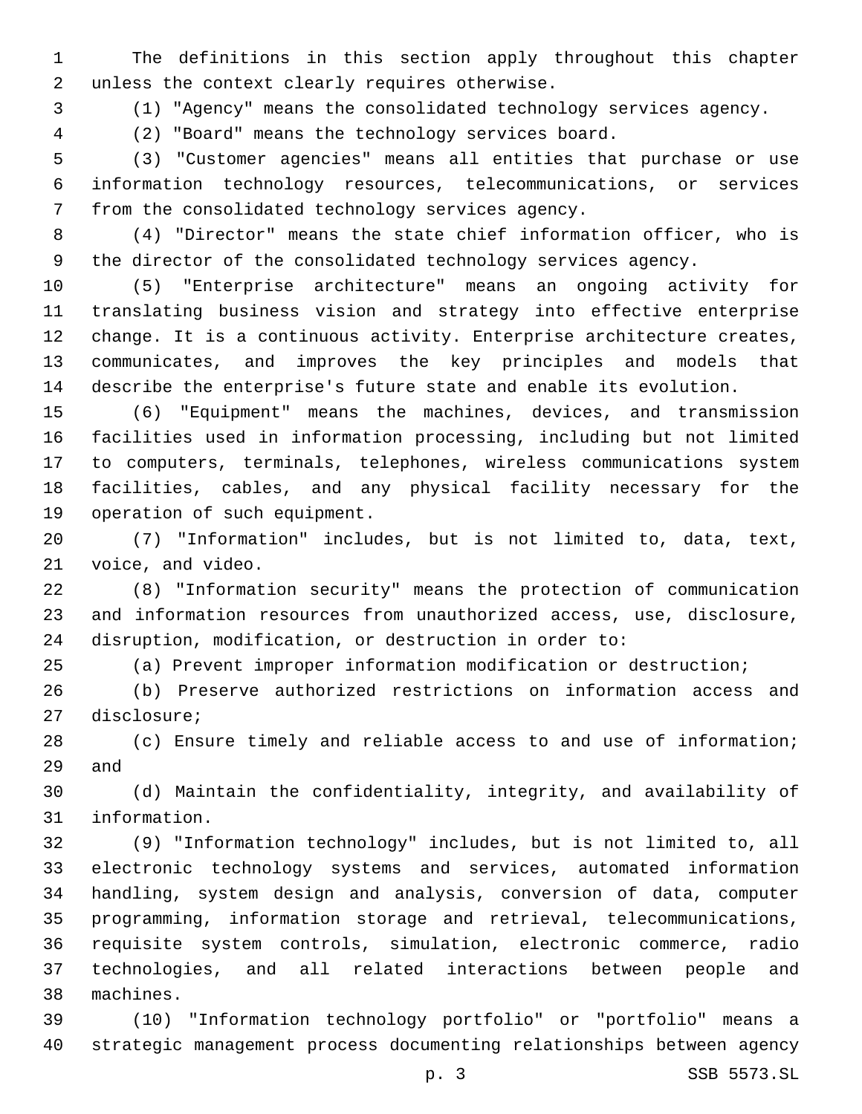The definitions in this section apply throughout this chapter 2 unless the context clearly requires otherwise.

(1) "Agency" means the consolidated technology services agency.

(2) "Board" means the technology services board.

 (3) "Customer agencies" means all entities that purchase or use information technology resources, telecommunications, or services 7 from the consolidated technology services agency.

 (4) "Director" means the state chief information officer, who is the director of the consolidated technology services agency.

 (5) "Enterprise architecture" means an ongoing activity for translating business vision and strategy into effective enterprise change. It is a continuous activity. Enterprise architecture creates, communicates, and improves the key principles and models that describe the enterprise's future state and enable its evolution.

 (6) "Equipment" means the machines, devices, and transmission facilities used in information processing, including but not limited to computers, terminals, telephones, wireless communications system facilities, cables, and any physical facility necessary for the 19 operation of such equipment.

 (7) "Information" includes, but is not limited to, data, text, 21 voice, and video.

 (8) "Information security" means the protection of communication and information resources from unauthorized access, use, disclosure, disruption, modification, or destruction in order to:

(a) Prevent improper information modification or destruction;

 (b) Preserve authorized restrictions on information access and 27 disclosure;

 (c) Ensure timely and reliable access to and use of information; 29 and

 (d) Maintain the confidentiality, integrity, and availability of 31 information.

 (9) "Information technology" includes, but is not limited to, all electronic technology systems and services, automated information handling, system design and analysis, conversion of data, computer programming, information storage and retrieval, telecommunications, requisite system controls, simulation, electronic commerce, radio technologies, and all related interactions between people and machines.38

 (10) "Information technology portfolio" or "portfolio" means a strategic management process documenting relationships between agency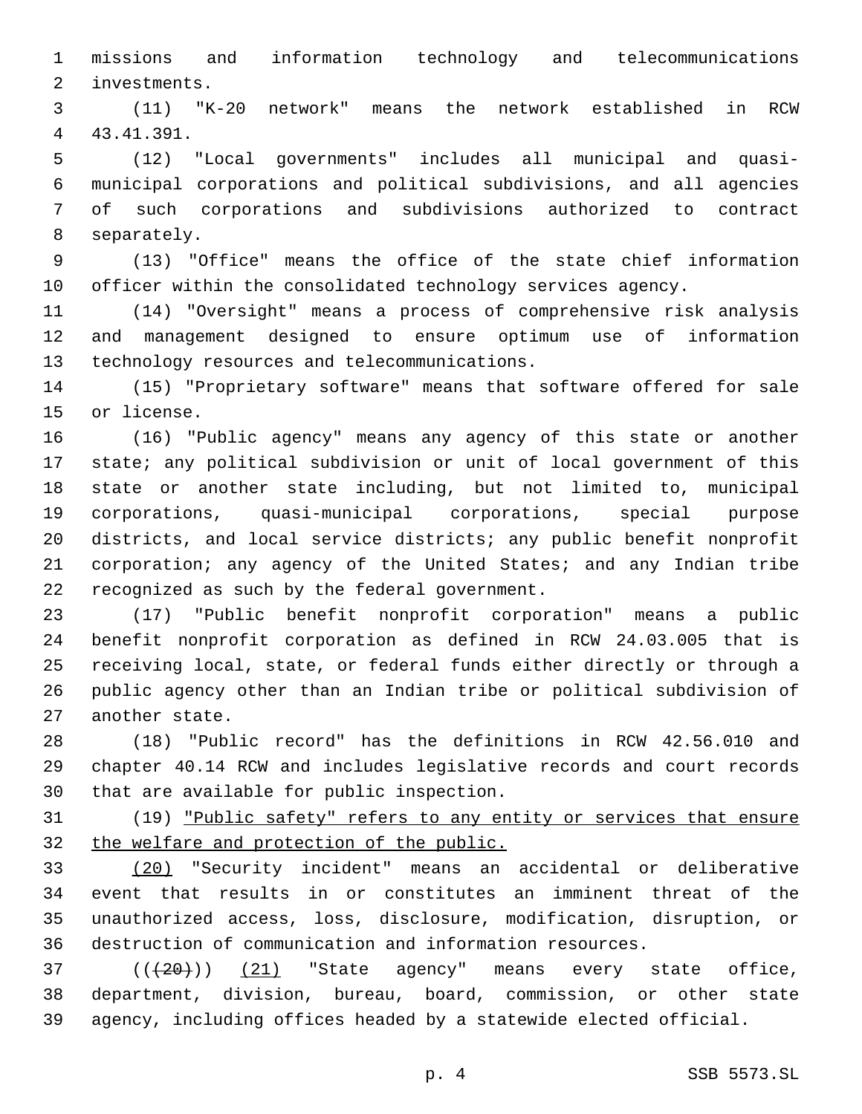missions and information technology and telecommunications 2 investments.

 (11) "K-20 network" means the network established in RCW 43.41.391.4

 (12) "Local governments" includes all municipal and quasi- municipal corporations and political subdivisions, and all agencies of such corporations and subdivisions authorized to contract 8 separately.

 (13) "Office" means the office of the state chief information officer within the consolidated technology services agency.

 (14) "Oversight" means a process of comprehensive risk analysis and management designed to ensure optimum use of information 13 technology resources and telecommunications.

 (15) "Proprietary software" means that software offered for sale 15 or license.

 (16) "Public agency" means any agency of this state or another state; any political subdivision or unit of local government of this state or another state including, but not limited to, municipal corporations, quasi-municipal corporations, special purpose districts, and local service districts; any public benefit nonprofit corporation; any agency of the United States; and any Indian tribe 22 recognized as such by the federal government.

 (17) "Public benefit nonprofit corporation" means a public benefit nonprofit corporation as defined in RCW 24.03.005 that is receiving local, state, or federal funds either directly or through a public agency other than an Indian tribe or political subdivision of 27 another state.

 (18) "Public record" has the definitions in RCW 42.56.010 and chapter 40.14 RCW and includes legislative records and court records 30 that are available for public inspection.

 (19) "Public safety" refers to any entity or services that ensure 32 the welfare and protection of the public.

 (20) "Security incident" means an accidental or deliberative event that results in or constitutes an imminent threat of the unauthorized access, loss, disclosure, modification, disruption, or destruction of communication and information resources.

  $((+20))$   $(21)$  "State agency" means every state office, department, division, bureau, board, commission, or other state agency, including offices headed by a statewide elected official.